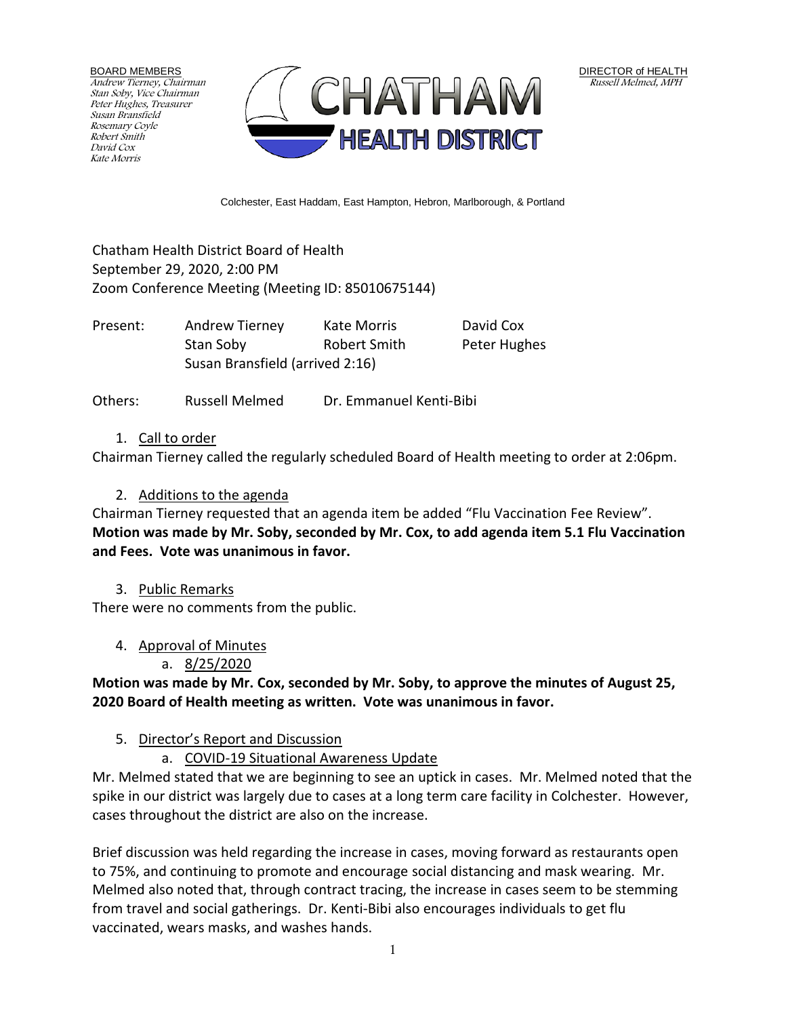BOARD MEMBERS Andrew Tierney, Chairman Stan Soby, Vice Chairman Peter Hughes, Treasurer Susan Bransfield Rosemary Coyle Robert Smith David Cox Kate Morris



Colchester, East Haddam, East Hampton, Hebron, Marlborough, & Portland

Chatham Health District Board of Health September 29, 2020, 2:00 PM Zoom Conference Meeting (Meeting ID: 85010675144)

| Present: | Andrew Tierney                  | Kate Morris  | David Cox    |
|----------|---------------------------------|--------------|--------------|
|          | Stan Soby                       | Robert Smith | Peter Hughes |
|          | Susan Bransfield (arrived 2:16) |              |              |

Others: Russell Melmed Dr. Emmanuel Kenti-Bibi

### 1. Call to order

Chairman Tierney called the regularly scheduled Board of Health meeting to order at 2:06pm.

### 2. Additions to the agenda

Chairman Tierney requested that an agenda item be added "Flu Vaccination Fee Review". **Motion was made by Mr. Soby, seconded by Mr. Cox, to add agenda item 5.1 Flu Vaccination and Fees. Vote was unanimous in favor.**

#### 3. Public Remarks

There were no comments from the public.

### 4. Approval of Minutes

### a. 8/25/2020

**Motion was made by Mr. Cox, seconded by Mr. Soby, to approve the minutes of August 25, 2020 Board of Health meeting as written. Vote was unanimous in favor.**

### 5. Director's Report and Discussion

### a. COVID-19 Situational Awareness Update

Mr. Melmed stated that we are beginning to see an uptick in cases. Mr. Melmed noted that the spike in our district was largely due to cases at a long term care facility in Colchester. However, cases throughout the district are also on the increase.

Brief discussion was held regarding the increase in cases, moving forward as restaurants open to 75%, and continuing to promote and encourage social distancing and mask wearing. Mr. Melmed also noted that, through contract tracing, the increase in cases seem to be stemming from travel and social gatherings. Dr. Kenti-Bibi also encourages individuals to get flu vaccinated, wears masks, and washes hands.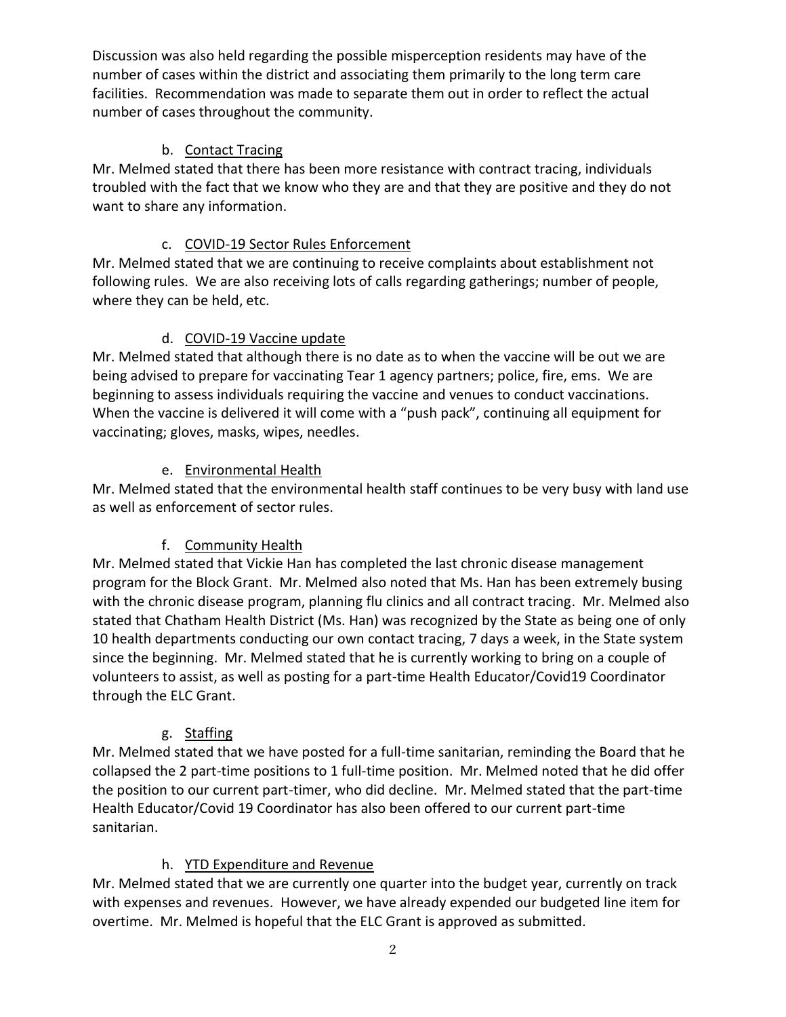Discussion was also held regarding the possible misperception residents may have of the number of cases within the district and associating them primarily to the long term care facilities. Recommendation was made to separate them out in order to reflect the actual number of cases throughout the community.

### b. Contact Tracing

Mr. Melmed stated that there has been more resistance with contract tracing, individuals troubled with the fact that we know who they are and that they are positive and they do not want to share any information.

## c. COVID-19 Sector Rules Enforcement

Mr. Melmed stated that we are continuing to receive complaints about establishment not following rules. We are also receiving lots of calls regarding gatherings; number of people, where they can be held, etc.

## d. COVID-19 Vaccine update

Mr. Melmed stated that although there is no date as to when the vaccine will be out we are being advised to prepare for vaccinating Tear 1 agency partners; police, fire, ems. We are beginning to assess individuals requiring the vaccine and venues to conduct vaccinations. When the vaccine is delivered it will come with a "push pack", continuing all equipment for vaccinating; gloves, masks, wipes, needles.

## e. Environmental Health

Mr. Melmed stated that the environmental health staff continues to be very busy with land use as well as enforcement of sector rules.

# f. Community Health

Mr. Melmed stated that Vickie Han has completed the last chronic disease management program for the Block Grant. Mr. Melmed also noted that Ms. Han has been extremely busing with the chronic disease program, planning flu clinics and all contract tracing. Mr. Melmed also stated that Chatham Health District (Ms. Han) was recognized by the State as being one of only 10 health departments conducting our own contact tracing, 7 days a week, in the State system since the beginning. Mr. Melmed stated that he is currently working to bring on a couple of volunteers to assist, as well as posting for a part-time Health Educator/Covid19 Coordinator through the ELC Grant.

### g. Staffing

Mr. Melmed stated that we have posted for a full-time sanitarian, reminding the Board that he collapsed the 2 part-time positions to 1 full-time position. Mr. Melmed noted that he did offer the position to our current part-timer, who did decline. Mr. Melmed stated that the part-time Health Educator/Covid 19 Coordinator has also been offered to our current part-time sanitarian.

# h. YTD Expenditure and Revenue

Mr. Melmed stated that we are currently one quarter into the budget year, currently on track with expenses and revenues. However, we have already expended our budgeted line item for overtime. Mr. Melmed is hopeful that the ELC Grant is approved as submitted.